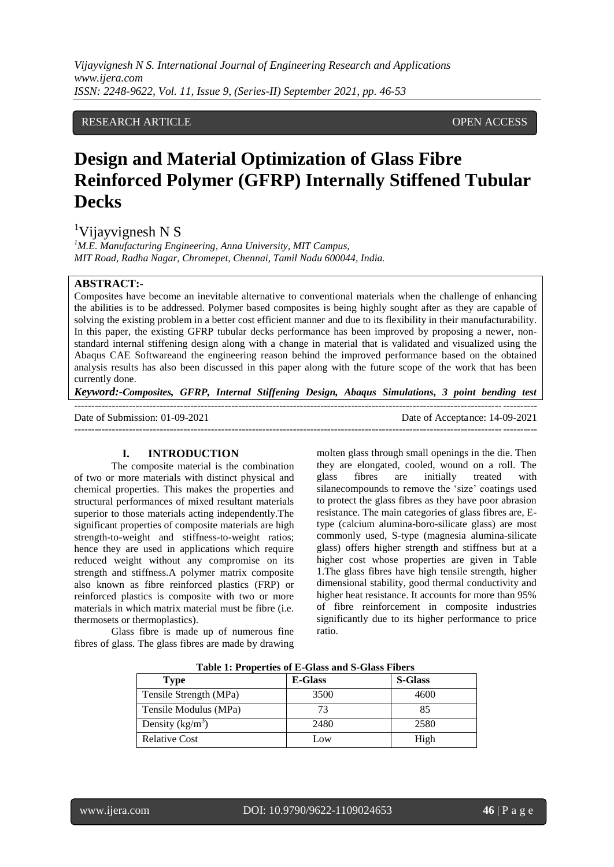# RESEARCH ARTICLE **CONSERVERS** OPEN ACCESS

# **Design and Material Optimization of Glass Fibre Reinforced Polymer (GFRP) Internally Stiffened Tubular Decks**

 $1$ Vijayvignesh N S

*<sup>1</sup>M.E. Manufacturing Engineering, Anna University, MIT Campus, MIT Road, Radha Nagar, Chromepet, Chennai, Tamil Nadu 600044, India.*

# **ABSTRACT:-**

Composites have become an inevitable alternative to conventional materials when the challenge of enhancing the abilities is to be addressed. Polymer based composites is being highly sought after as they are capable of solving the existing problem in a better cost efficient manner and due to its flexibility in their manufacturability. In this paper, the existing GFRP tubular decks performance has been improved by proposing a newer, nonstandard internal stiffening design along with a change in material that is validated and visualized using the Abaqus CAE Softwareand the engineering reason behind the improved performance based on the obtained analysis results has also been discussed in this paper along with the future scope of the work that has been currently done.

*Keyword:-Composites, GFRP, Internal Stiffening Design, Abaqus Simulations, 3 point bending test*  ---------------------------------------------------------------------------------------------------------------------------------------

Date of Submission: 01-09-2021 Date of Acceptance: 14-09-2021 ---------------------------------------------------------------------------------------------------------------------------------------

#### **I. INTRODUCTION**

The composite material is the combination of two or more materials with distinct physical and chemical properties. This makes the properties and structural performances of mixed resultant materials superior to those materials acting independently.The significant properties of composite materials are high strength-to-weight and stiffness-to-weight ratios; hence they are used in applications which require reduced weight without any compromise on its strength and stiffness.A polymer matrix composite also known as fibre reinforced plastics (FRP) or reinforced plastics is composite with two or more materials in which matrix material must be fibre (i.e. thermosets or thermoplastics).

Glass fibre is made up of numerous fine fibres of glass. The glass fibres are made by drawing

molten glass through small openings in the die. Then they are elongated, cooled, wound on a roll. The glass fibres are initially treated with silanecompounds to remove the 'size' coatings used to protect the glass fibres as they have poor abrasion resistance. The main categories of glass fibres are, Etype (calcium alumina-boro-silicate glass) are most commonly used, S-type (magnesia alumina-silicate glass) offers higher strength and stiffness but at a higher cost whose properties are given in Table 1.The glass fibres have high tensile strength, higher dimensional stability, good thermal conductivity and higher heat resistance. It accounts for more than 95% of fibre reinforcement in composite industries significantly due to its higher performance to price ratio.

| <b>Type</b>            | <b>E-Glass</b> | <b>S-Glass</b> |  |
|------------------------|----------------|----------------|--|
| Tensile Strength (MPa) | 3500           | 4600           |  |
| Tensile Modulus (MPa)  |                | 85             |  |
| Density $(kg/m^3)$     | 2480           | 2580           |  |
| <b>Relative Cost</b>   | Low            | High           |  |

**Table 1: Properties of E-Glass and S-Glass Fibers**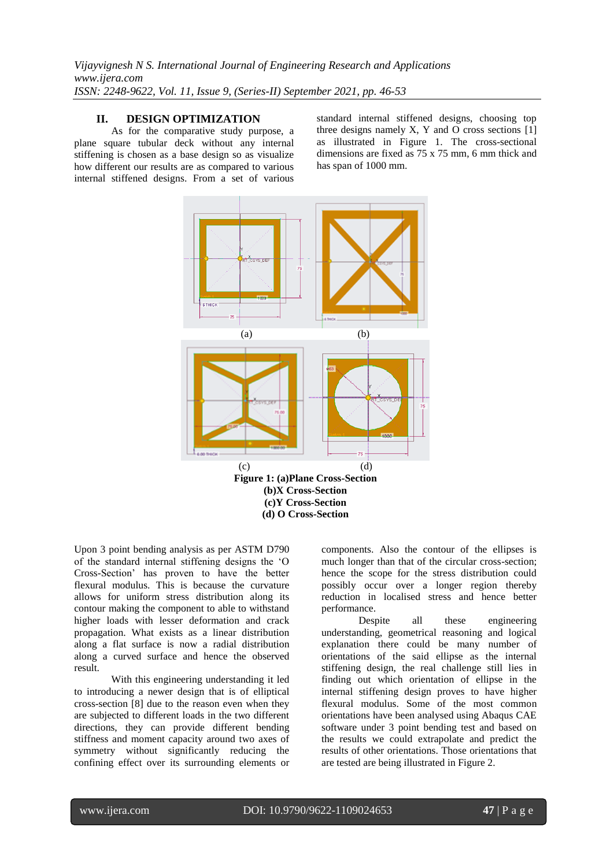# **II. DESIGN OPTIMIZATION**

As for the comparative study purpose, a plane square tubular deck without any internal stiffening is chosen as a base design so as visualize how different our results are as compared to various internal stiffened designs. From a set of various

standard internal stiffened designs, choosing top three designs namely X, Y and O cross sections  $[1]$ as illustrated in Figure 1. The cross-sectional dimensions are fixed as 75 x 75 mm, 6 mm thick and has span of 1000 mm.



Upon 3 point bending analysis as per ASTM D790 of the standard internal stiffening designs the 'O Cross-Section' has proven to have the better flexural modulus. This is because the curvature allows for uniform stress distribution along its contour making the component to able to withstand higher loads with lesser deformation and crack propagation. What exists as a linear distribution along a flat surface is now a radial distribution along a curved surface and hence the observed result.

With this engineering understanding it led to introducing a newer design that is of elliptical cross-section [8] due to the reason even when they are subjected to different loads in the two different directions, they can provide different bending stiffness and moment capacity around two axes of symmetry without significantly reducing the confining effect over its surrounding elements or

components. Also the contour of the ellipses is much longer than that of the circular cross-section; hence the scope for the stress distribution could possibly occur over a longer region thereby reduction in localised stress and hence better performance.

Despite all these engineering understanding, geometrical reasoning and logical explanation there could be many number of orientations of the said ellipse as the internal stiffening design, the real challenge still lies in finding out which orientation of ellipse in the internal stiffening design proves to have higher flexural modulus. Some of the most common orientations have been analysed using Abaqus CAE software under 3 point bending test and based on the results we could extrapolate and predict the results of other orientations. Those orientations that are tested are being illustrated in Figure 2.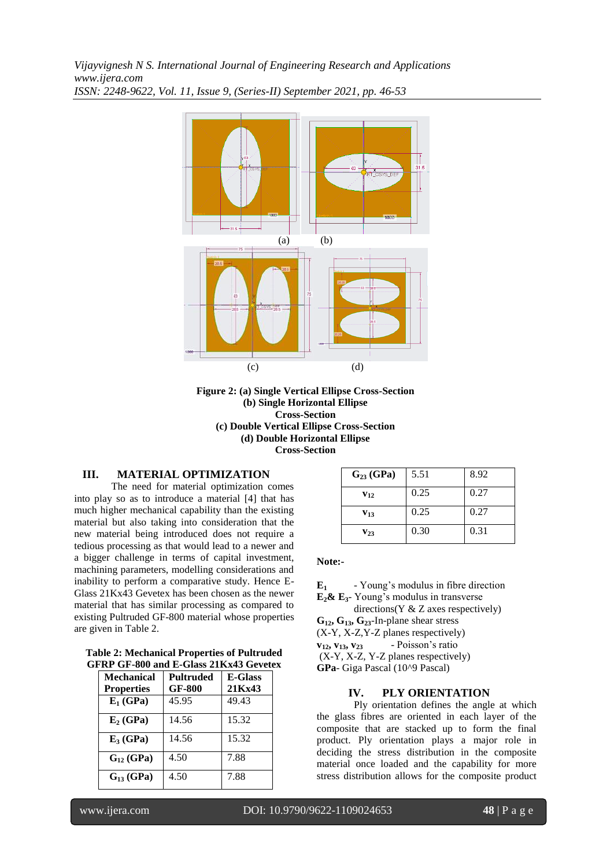

**Figure 2: (a) Single Vertical Ellipse Cross-Section (b) Single Horizontal Ellipse Cross-Section (c) Double Vertical Ellipse Cross-Section (d) Double Horizontal Ellipse Cross-Section**

## **III. MATERIAL OPTIMIZATION**

The need for material optimization comes into play so as to introduce a material [4] that has much higher mechanical capability than the existing material but also taking into consideration that the new material being introduced does not require a tedious processing as that would lead to a newer and a bigger challenge in terms of capital investment, machining parameters, modelling considerations and inability to perform a comparative study. Hence E-Glass 21Kx43 Gevetex has been chosen as the newer material that has similar processing as compared to existing Pultruded GF-800 material whose properties are given in Table 2.

| <b>Table 2: Mechanical Properties of Pultruded</b> |  |
|----------------------------------------------------|--|
| GFRP GF-800 and E-Glass 21Kx43 Gevetex             |  |

| <b>Mechanical</b> | Pultruded     | <b>E-Glass</b> |
|-------------------|---------------|----------------|
| <b>Properties</b> | <b>GF-800</b> | 21Kx43         |
| $E_1$ (GPa)       | 45.95         | 49.43          |
| $E_2(GPa)$        | 14.56         | 15.32          |
| $E_3$ (GPa)       | 14.56         | 15.32          |
| $G_{12}$ (GPa)    | 4.50          | 7.88           |
| $G_{13}$ (GPa)    | 4.50          | 7.88           |

| $G_{23}$ (GPa)    | 5.51 | 8.92 |
|-------------------|------|------|
| $V_{12}$          | 0.25 | 0.27 |
| $V_{13}$          | 0.25 | 0.27 |
| $\mathbf{v}_{23}$ | 0.30 | 0.31 |

**Note:-**

**E<sup>1</sup>** - Young's modulus in fibre direction **E2& E3**- Young's modulus in transverse

directions(Y  $&Z$  axes respectively)

**G12, G13, G23**-In-plane shear stress

(X-Y, X-Z,Y-Z planes respectively)

 $v_{12}$ ,  $v_{13}$ ,  $v_{23}$  - Poisson's ratio (X-Y, X-Z, Y-Z planes respectively)

**GPa**- Giga Pascal (10^9 Pascal)

## **IV. PLY ORIENTATION**

Ply orientation defines the angle at which the glass fibres are oriented in each layer of the composite that are stacked up to form the final product. Ply orientation plays a major role in deciding the stress distribution in the composite material once loaded and the capability for more stress distribution allows for the composite product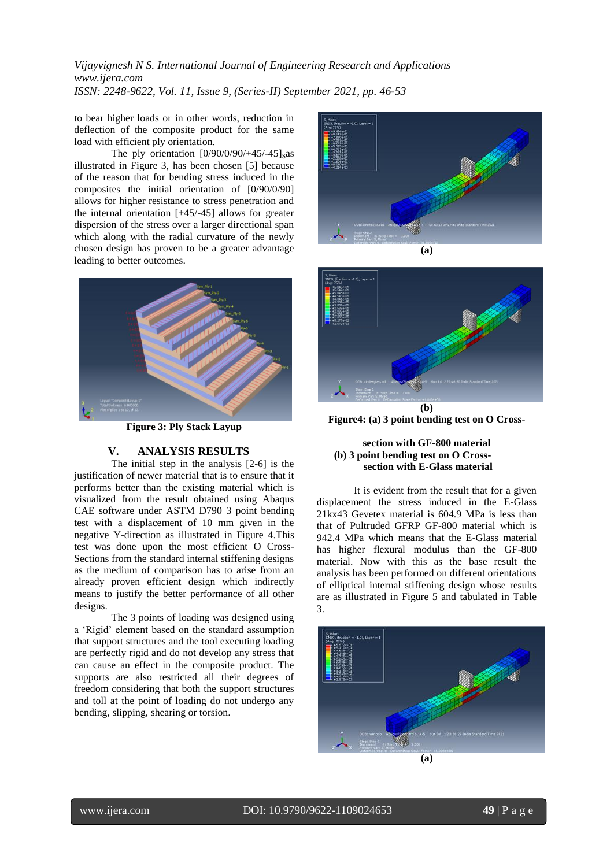to bear higher loads or in other words, reduction in deflection of the composite product for the same load with efficient ply orientation.

The ply orientation  $[0/90/0/90/+45/-45]$ sas illustrated in Figure 3, has been chosen [5] because of the reason that for bending stress induced in the composites the initial orientation of [0/90/0/90] allows for higher resistance to stress penetration and the internal orientation [+45/-45] allows for greater dispersion of the stress over a larger directional span which along with the radial curvature of the newly chosen design has proven to be a greater advantage leading to better outcomes.



**Figure 3: Ply Stack Layup**

#### **V. ANALYSIS RESULTS**

The initial step in the analysis [2-6] is the justification of newer material that is to ensure that it performs better than the existing material which is visualized from the result obtained using Abaqus CAE software under ASTM D790 3 point bending test with a displacement of 10 mm given in the negative Y-direction as illustrated in Figure 4.This test was done upon the most efficient O Cross-Sections from the standard internal stiffening designs as the medium of comparison has to arise from an already proven efficient design which indirectly means to justify the better performance of all other designs.

The 3 points of loading was designed using a 'Rigid' element based on the standard assumption that support structures and the tool executing loading are perfectly rigid and do not develop any stress that can cause an effect in the composite product. The supports are also restricted all their degrees of freedom considering that both the support structures and toll at the point of loading do not undergo any bending, slipping, shearing or torsion.





**Figure4: (a) 3 point bending test on O Cross-** 

#### **section with GF-800 material (b) 3 point bending test on O Crosssection with E-Glass material**

It is evident from the result that for a given displacement the stress induced in the E-Glass 21kx43 Gevetex material is 604.9 MPa is less than that of Pultruded GFRP GF-800 material which is 942.4 MPa which means that the E-Glass material has higher flexural modulus than the GF-800 material. Now with this as the base result the analysis has been performed on different orientations of elliptical internal stiffening design whose results are as illustrated in Figure 5 and tabulated in Table 3.



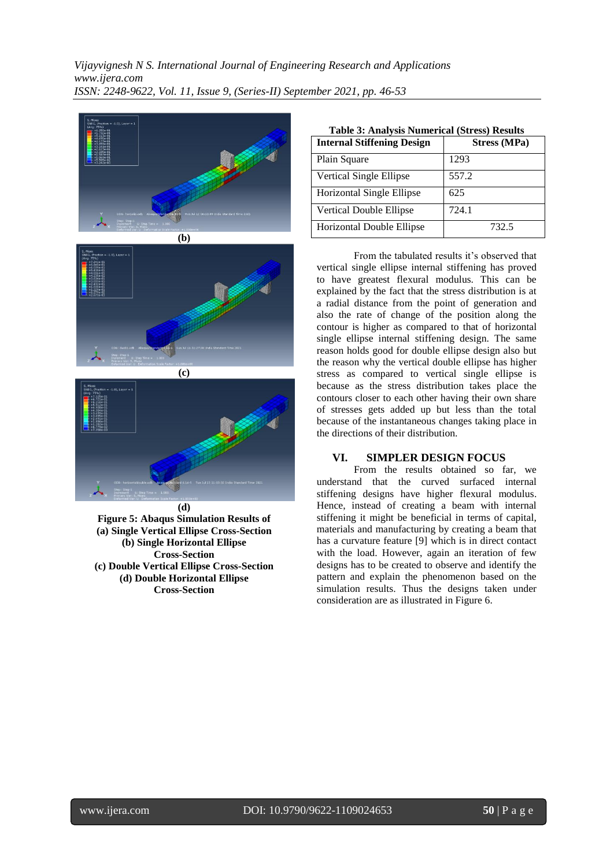





**Figure 5: Abaqus Simulation Results of (a) Single Vertical Ellipse Cross-Section (b) Single Horizontal Ellipse Cross-Section (c) Double Vertical Ellipse Cross-Section (d) Double Horizontal Ellipse Cross-Section**

|  | <b>Table 3: Analysis Numerical (Stress) Results</b> |  |  |
|--|-----------------------------------------------------|--|--|
|--|-----------------------------------------------------|--|--|

| <b>Internal Stiffening Design</b> | <b>Stress (MPa)</b> |
|-----------------------------------|---------------------|
| Plain Square                      | 1293                |
| Vertical Single Ellipse           | 557.2               |
| Horizontal Single Ellipse         | 625                 |
| <b>Vertical Double Ellipse</b>    | 724.1               |
| Horizontal Double Ellipse         | 732.5               |

From the tabulated results it's observed that vertical single ellipse internal stiffening has proved to have greatest flexural modulus. This can be explained by the fact that the stress distribution is at a radial distance from the point of generation and also the rate of change of the position along the contour is higher as compared to that of horizontal single ellipse internal stiffening design. The same reason holds good for double ellipse design also but the reason why the vertical double ellipse has higher stress as compared to vertical single ellipse is because as the stress distribution takes place the contours closer to each other having their own share of stresses gets added up but less than the total because of the instantaneous changes taking place in the directions of their distribution.

## **VI. SIMPLER DESIGN FOCUS**

From the results obtained so far, we understand that the curved surfaced internal stiffening designs have higher flexural modulus. Hence, instead of creating a beam with internal stiffening it might be beneficial in terms of capital, materials and manufacturing by creating a beam that has a curvature feature [9] which is in direct contact with the load. However, again an iteration of few designs has to be created to observe and identify the pattern and explain the phenomenon based on the simulation results. Thus the designs taken under consideration are as illustrated in Figure 6.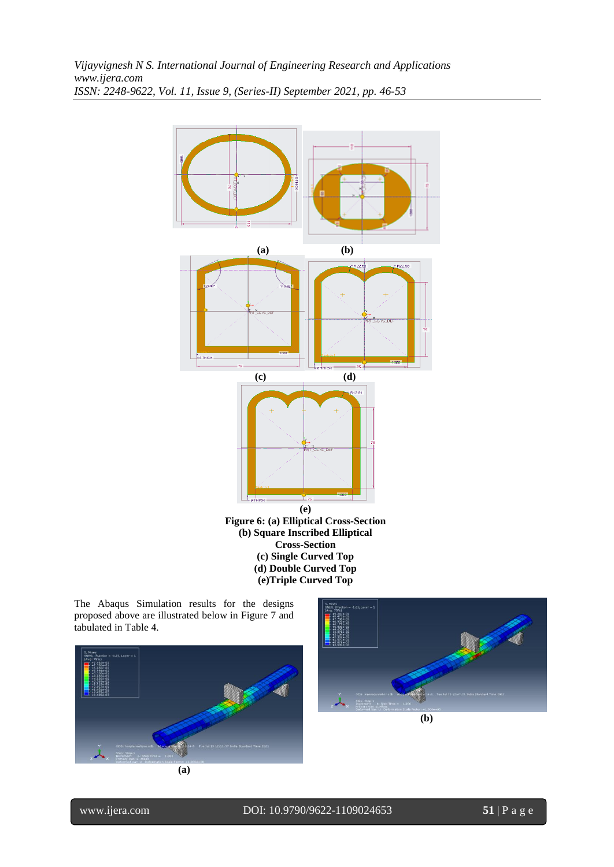

The Abaqus Simulation results for the designs proposed above are illustrated below in Figure 7 and tabulated in Table 4.





www.ijera.com DOI: 10.9790/9622-1109024653 **51** | P a g e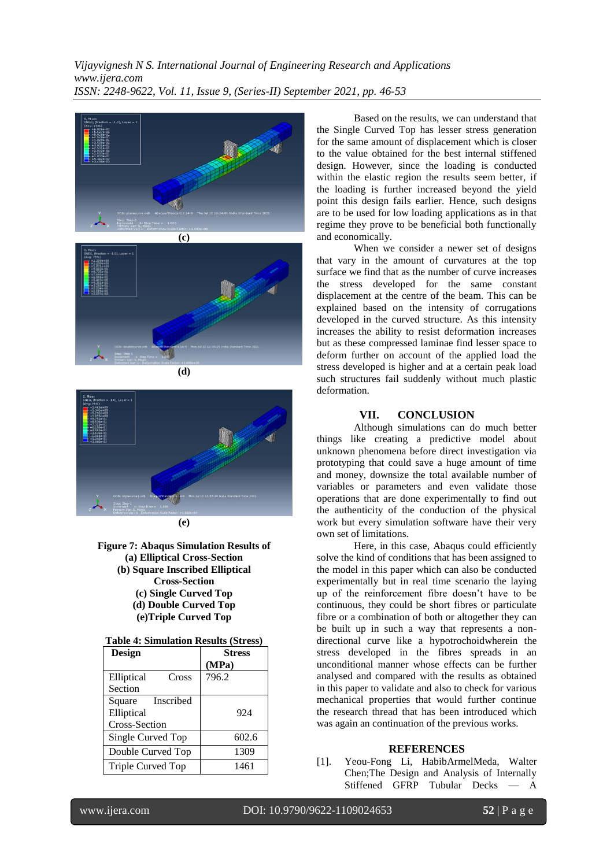







**Figure 7: Abaqus Simulation Results of (a) Elliptical Cross-Section (b) Square Inscribed Elliptical Cross-Section (c) Single Curved Top (d) Double Curved Top (e)Triple Curved Top**

| <b>Table 4: Simulation Results (Stress)</b> |  |
|---------------------------------------------|--|
|---------------------------------------------|--|

| <b>Design</b>        | <b>Stress</b> |
|----------------------|---------------|
|                      | (MPa)         |
| Elliptical<br>Cross  | 796.2         |
| Section              |               |
| Inscribed<br>Square  |               |
| Elliptical           | 924           |
| <b>Cross-Section</b> |               |
| Single Curved Top    | 602.6         |
| Double Curved Top    | 1309          |
| Triple Curved Top    | 1461          |

Based on the results, we can understand that the Single Curved Top has lesser stress generation for the same amount of displacement which is closer to the value obtained for the best internal stiffened design. However, since the loading is conducted within the elastic region the results seem better, if the loading is further increased beyond the yield point this design fails earlier. Hence, such designs are to be used for low loading applications as in that regime they prove to be beneficial both functionally and economically.

When we consider a newer set of designs that vary in the amount of curvatures at the top surface we find that as the number of curve increases the stress developed for the same constant displacement at the centre of the beam. This can be explained based on the intensity of corrugations developed in the curved structure. As this intensity increases the ability to resist deformation increases but as these compressed laminae find lesser space to deform further on account of the applied load the stress developed is higher and at a certain peak load such structures fail suddenly without much plastic deformation.

#### **VII. CONCLUSION**

Although simulations can do much better things like creating a predictive model about unknown phenomena before direct investigation via prototyping that could save a huge amount of time and money, downsize the total available number of variables or parameters and even validate those operations that are done experimentally to find out the authenticity of the conduction of the physical work but every simulation software have their very own set of limitations.

Here, in this case, Abaqus could efficiently solve the kind of conditions that has been assigned to the model in this paper which can also be conducted experimentally but in real time scenario the laying up of the reinforcement fibre doesn't have to be continuous, they could be short fibres or particulate fibre or a combination of both or altogether they can be built up in such a way that represents a nondirectional curve like a hypotrochoidwherein the stress developed in the fibres spreads in an unconditional manner whose effects can be further analysed and compared with the results as obtained in this paper to validate and also to check for various mechanical properties that would further continue the research thread that has been introduced which was again an continuation of the previous works.

### **REFERENCES**

[1]. Yeou-Fong Li, HabibArmelMeda, Walter Chen;The Design and Analysis of Internally Stiffened GFRP Tubular Decks — A